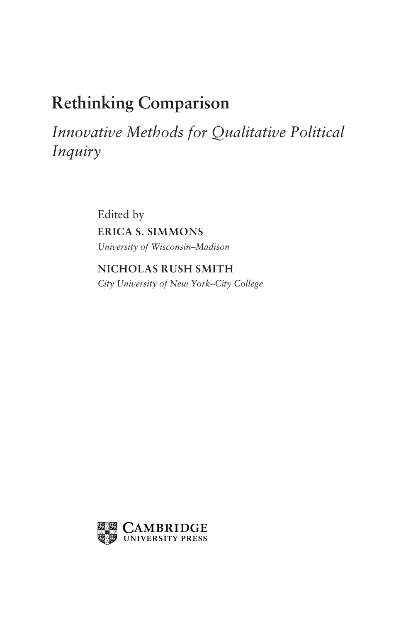# Rethinking Comparison

Innovative Methods for Qualitative Political Inquiry

> Edited by ERICA S. SIMMONS University of Wisconsin–Madison

NICHOLAS RUSH SMITH City University of New York–City College

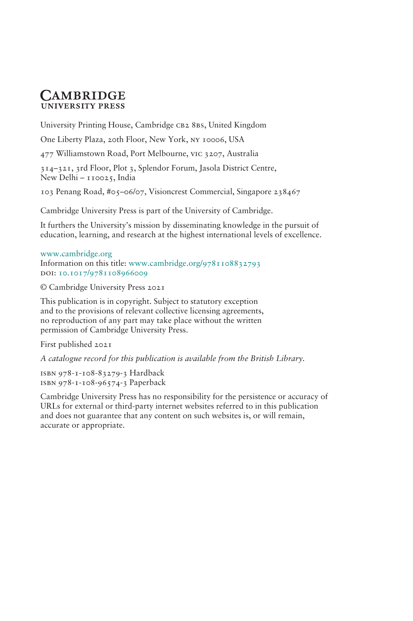# **CAMBRIDGE UNIVERSITY PRESS**

University Printing House, Cambridge cb2 8bs, United Kingdom

One Liberty Plaza, 20th Floor, New York, ny 10006, USA

477 Williamstown Road, Port Melbourne, vic 3207, Australia

314–321, 3rd Floor, Plot 3, Splendor Forum, Jasola District Centre, New Delhi - 110025, India

103 Penang Road, #05–06/07, Visioncrest Commercial, Singapore 238467

Cambridge University Press is part of the University of Cambridge.

It furthers the University's mission by disseminating knowledge in the pursuit of education, learning, and research at the highest international levels of excellence.

#### www.cambridge.org

Information on this title: www.cambridge.org/9781108832793 DOI: 10.1017/9781108966009

© Cambridge University Press 2021

This publication is in copyright. Subject to statutory exception and to the provisions of relevant collective licensing agreements, no reproduction of any part may take place without the written permission of Cambridge University Press.

First published 2021

A catalogue record for this publication is available from the British Library.

isbn 978-1-108-83279-3 Hardback isbn 978-1-108-96574-3 Paperback

Cambridge University Press has no responsibility for the persistence or accuracy of URLs for external or third-party internet websites referred to in this publication and does not guarantee that any content on such websites is, or will remain, accurate or appropriate.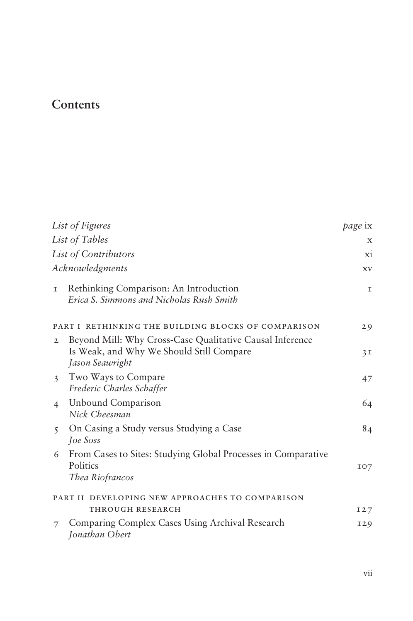# Contents

|                         | List of Figures                                                                                                         | page ix     |
|-------------------------|-------------------------------------------------------------------------------------------------------------------------|-------------|
|                         | List of Tables                                                                                                          | X           |
|                         | List of Contributors                                                                                                    | xi          |
| Acknowledgments         |                                                                                                                         | XV          |
| T.                      | Rethinking Comparison: An Introduction<br>Erica S. Simmons and Nicholas Rush Smith                                      | $\mathbf I$ |
|                         | PART I RETHINKING THE BUILDING BLOCKS OF COMPARISON                                                                     | 29          |
| $\mathbf{2}$            | Beyond Mill: Why Cross-Case Qualitative Causal Inference<br>Is Weak, and Why We Should Still Compare<br>Jason Seawright | 3I          |
| $\overline{\mathbf{3}}$ | Two Ways to Compare<br>Frederic Charles Schaffer                                                                        | 47          |
| $\overline{4}$          | Unbound Comparison<br>Nick Cheesman                                                                                     | 64          |
| $\overline{5}$          | On Casing a Study versus Studying a Case<br><i>Joe Soss</i>                                                             | 84          |
| 6                       | From Cases to Sites: Studying Global Processes in Comparative<br>Politics<br>Thea Riofrancos                            | IO7         |
|                         | PART II DEVELOPING NEW APPROACHES TO COMPARISON                                                                         |             |
|                         | THROUGH RESEARCH                                                                                                        | I27         |
|                         | Comparing Complex Cases Using Archival Research<br>Jonathan Obert                                                       | <b>129</b>  |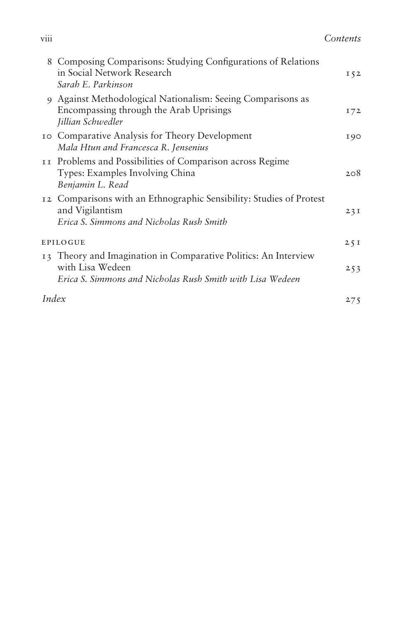|       | 8 Composing Comparisons: Studying Configurations of Relations<br>in Social Network Research<br>Sarah E. Parkinson                                | $I\,52$ |
|-------|--------------------------------------------------------------------------------------------------------------------------------------------------|---------|
|       | 9 Against Methodological Nationalism: Seeing Comparisons as<br>Encompassing through the Arab Uprisings<br>Jillian Schwedler                      | 172     |
|       | <b>10 Comparative Analysis for Theory Development</b><br>Mala Htun and Francesca R. Jensenius                                                    | 190     |
|       | II Problems and Possibilities of Comparison across Regime<br>Types: Examples Involving China<br>Benjamin L. Read                                 | 208     |
|       | 12 Comparisons with an Ethnographic Sensibility: Studies of Protest<br>and Vigilantism<br>Erica S. Simmons and Nicholas Rush Smith               | 23I     |
|       | EPILOGUE                                                                                                                                         |         |
|       | 13 Theory and Imagination in Comparative Politics: An Interview<br>with Lisa Wedeen<br>Erica S. Simmons and Nicholas Rush Smith with Lisa Wedeen | 253     |
| Index |                                                                                                                                                  | 275     |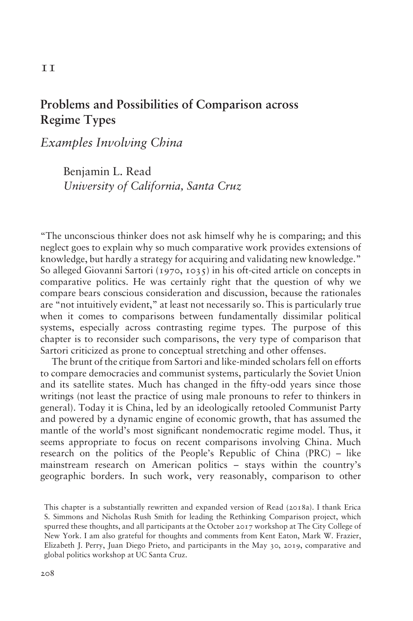# Problems and Possibilities of Comparison across Regime Types

Examples Involving China

Benjamin L. Read University of California, Santa Cruz

"The unconscious thinker does not ask himself why he is comparing; and this neglect goes to explain why so much comparative work provides extensions of knowledge, but hardly a strategy for acquiring and validating new knowledge." So alleged Giovanni Sartori (1970, 1035) in his oft-cited article on concepts in comparative politics. He was certainly right that the question of why we compare bears conscious consideration and discussion, because the rationales are "not intuitively evident," at least not necessarily so. This is particularly true when it comes to comparisons between fundamentally dissimilar political systems, especially across contrasting regime types. The purpose of this chapter is to reconsider such comparisons, the very type of comparison that Sartori criticized as prone to conceptual stretching and other offenses.

The brunt of the critique from Sartori and like-minded scholars fell on efforts to compare democracies and communist systems, particularly the Soviet Union and its satellite states. Much has changed in the fifty-odd years since those writings (not least the practice of using male pronouns to refer to thinkers in general). Today it is China, led by an ideologically retooled Communist Party and powered by a dynamic engine of economic growth, that has assumed the mantle of the world's most significant nondemocratic regime model. Thus, it seems appropriate to focus on recent comparisons involving China. Much research on the politics of the People's Republic of China (PRC) – like mainstream research on American politics – stays within the country's geographic borders. In such work, very reasonably, comparison to other

This chapter is a substantially rewritten and expanded version of Read (2018a). I thank Erica S. Simmons and Nicholas Rush Smith for leading the Rethinking Comparison project, which spurred these thoughts, and all participants at the October 2017 workshop at The City College of New York. I am also grateful for thoughts and comments from Kent Eaton, Mark W. Frazier, Elizabeth J. Perry, Juan Diego Prieto, and participants in the May 30, 2019, comparative and global politics workshop at UC Santa Cruz.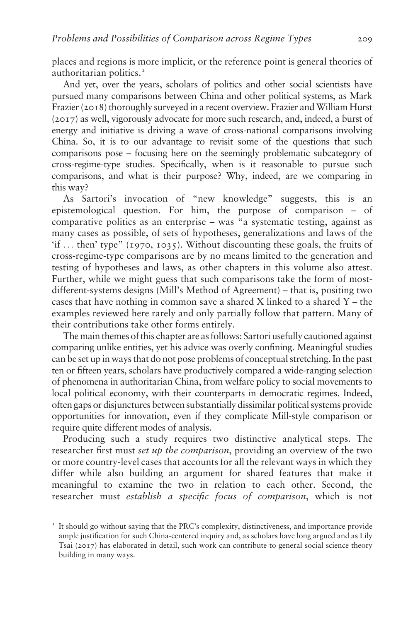places and regions is more implicit, or the reference point is general theories of authoritarian politics.<sup>1</sup>

And yet, over the years, scholars of politics and other social scientists have pursued many comparisons between China and other political systems, as Mark Frazier (2018) thoroughly surveyed in a recent overview. Frazier and William Hurst (2017) as well, vigorously advocate for more such research, and, indeed, a burst of energy and initiative is driving a wave of cross-national comparisons involving China. So, it is to our advantage to revisit some of the questions that such comparisons pose – focusing here on the seemingly problematic subcategory of cross-regime-type studies. Specifically, when is it reasonable to pursue such comparisons, and what is their purpose? Why, indeed, are we comparing in this way?

As Sartori's invocation of "new knowledge" suggests, this is an epistemological question. For him, the purpose of comparison – of comparative politics as an enterprise – was "a systematic testing, against as many cases as possible, of sets of hypotheses, generalizations and laws of the 'if ... then' type" (1970, 1035). Without discounting these goals, the fruits of cross-regime-type comparisons are by no means limited to the generation and testing of hypotheses and laws, as other chapters in this volume also attest. Further, while we might guess that such comparisons take the form of mostdifferent-systems designs (Mill's Method of Agreement) – that is, positing two cases that have nothing in common save a shared X linked to a shared Y – the examples reviewed here rarely and only partially follow that pattern. Many of their contributions take other forms entirely.

The main themes of this chapter are as follows: Sartori usefully cautioned against comparing unlike entities, yet his advice was overly confining. Meaningful studies can be set up in ways that do not pose problems of conceptual stretching. In the past ten or fifteen years, scholars have productively compared a wide-ranging selection of phenomena in authoritarian China, from welfare policy to social movements to local political economy, with their counterparts in democratic regimes. Indeed, often gaps or disjunctures between substantially dissimilar political systems provide opportunities for innovation, even if they complicate Mill-style comparison or require quite different modes of analysis.

Producing such a study requires two distinctive analytical steps. The researcher first must *set up the comparison*, providing an overview of the two or more country-level cases that accounts for all the relevant ways in which they differ while also building an argument for shared features that make it meaningful to examine the two in relation to each other. Second, the researcher must establish a specific focus of comparison, which is not

 $I<sup>T</sup>$  It should go without saying that the PRC's complexity, distinctiveness, and importance provide ample justification for such China-centered inquiry and, as scholars have long argued and as Lily Tsai (2017) has elaborated in detail, such work can contribute to general social science theory building in many ways.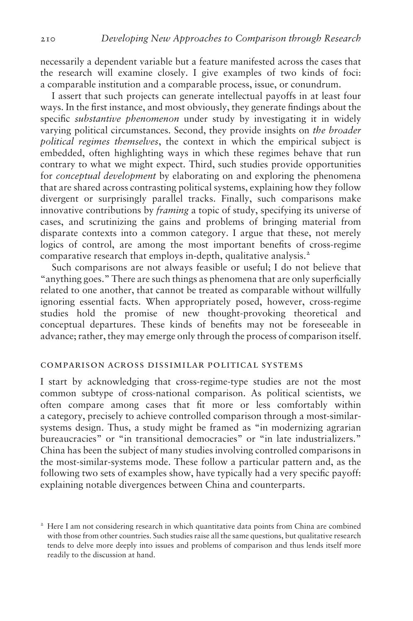necessarily a dependent variable but a feature manifested across the cases that the research will examine closely. I give examples of two kinds of foci: a comparable institution and a comparable process, issue, or conundrum.

I assert that such projects can generate intellectual payoffs in at least four ways. In the first instance, and most obviously, they generate findings about the specific substantive phenomenon under study by investigating it in widely varying political circumstances. Second, they provide insights on the broader political regimes themselves, the context in which the empirical subject is embedded, often highlighting ways in which these regimes behave that run contrary to what we might expect. Third, such studies provide opportunities for conceptual development by elaborating on and exploring the phenomena that are shared across contrasting political systems, explaining how they follow divergent or surprisingly parallel tracks. Finally, such comparisons make innovative contributions by *framing* a topic of study, specifying its universe of cases, and scrutinizing the gains and problems of bringing material from disparate contexts into a common category. I argue that these, not merely logics of control, are among the most important benefits of cross-regime comparative research that employs in-depth, qualitative analysis.<sup>2</sup>

Such comparisons are not always feasible or useful; I do not believe that "anything goes." There are such things as phenomena that are only superficially related to one another, that cannot be treated as comparable without willfully ignoring essential facts. When appropriately posed, however, cross-regime studies hold the promise of new thought-provoking theoretical and conceptual departures. These kinds of benefits may not be foreseeable in advance; rather, they may emerge only through the process of comparison itself.

# comparison across dissimilar political systems

I start by acknowledging that cross-regime-type studies are not the most common subtype of cross-national comparison. As political scientists, we often compare among cases that fit more or less comfortably within a category, precisely to achieve controlled comparison through a most-similarsystems design. Thus, a study might be framed as "in modernizing agrarian bureaucracies" or "in transitional democracies" or "in late industrializers." China has been the subject of many studies involving controlled comparisons in the most-similar-systems mode. These follow a particular pattern and, as the following two sets of examples show, have typically had a very specific payoff: explaining notable divergences between China and counterparts.

<sup>&</sup>lt;sup>2</sup> Here I am not considering research in which quantitative data points from China are combined with those from other countries. Such studies raise all the same questions, but qualitative research tends to delve more deeply into issues and problems of comparison and thus lends itself more readily to the discussion at hand.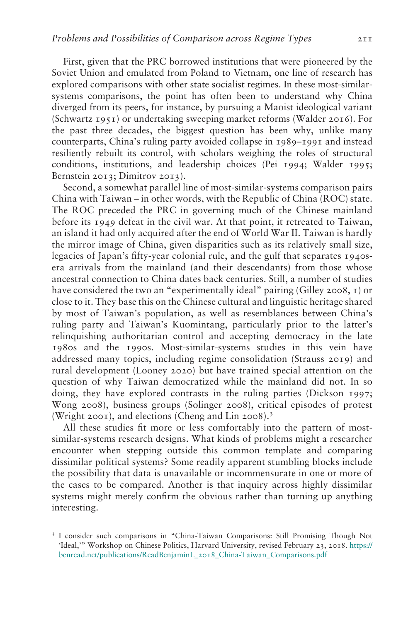First, given that the PRC borrowed institutions that were pioneered by the Soviet Union and emulated from Poland to Vietnam, one line of research has explored comparisons with other state socialist regimes. In these most-similarsystems comparisons, the point has often been to understand why China diverged from its peers, for instance, by pursuing a Maoist ideological variant (Schwartz 1951) or undertaking sweeping market reforms (Walder 2016). For the past three decades, the biggest question has been why, unlike many counterparts, China's ruling party avoided collapse in 1989–1991 and instead resiliently rebuilt its control, with scholars weighing the roles of structural conditions, institutions, and leadership choices (Pei 1994; Walder 1995; Bernstein 2013; Dimitrov 2013).

Second, a somewhat parallel line of most-similar-systems comparison pairs China with Taiwan – in other words, with the Republic of China (ROC) state. The ROC preceded the PRC in governing much of the Chinese mainland before its 1949 defeat in the civil war. At that point, it retreated to Taiwan, an island it had only acquired after the end of World War II. Taiwan is hardly the mirror image of China, given disparities such as its relatively small size, legacies of Japan's fifty-year colonial rule, and the gulf that separates 1940sera arrivals from the mainland (and their descendants) from those whose ancestral connection to China dates back centuries. Still, a number of studies have considered the two an "experimentally ideal" pairing (Gilley 2008, 1) or close to it. They base this on the Chinese cultural and linguistic heritage shared by most of Taiwan's population, as well as resemblances between China's ruling party and Taiwan's Kuomintang, particularly prior to the latter's relinquishing authoritarian control and accepting democracy in the late 1980s and the 1990s. Most-similar-systems studies in this vein have addressed many topics, including regime consolidation (Strauss 2019) and rural development (Looney 2020) but have trained special attention on the question of why Taiwan democratized while the mainland did not. In so doing, they have explored contrasts in the ruling parties (Dickson 1997; Wong 2008), business groups (Solinger 2008), critical episodes of protest (Wright 2001), and elections (Cheng and Lin 2008).<sup>3</sup>

All these studies fit more or less comfortably into the pattern of mostsimilar-systems research designs. What kinds of problems might a researcher encounter when stepping outside this common template and comparing dissimilar political systems? Some readily apparent stumbling blocks include the possibility that data is unavailable or incommensurate in one or more of the cases to be compared. Another is that inquiry across highly dissimilar systems might merely confirm the obvious rather than turning up anything interesting.

<sup>3</sup> I consider such comparisons in "China-Taiwan Comparisons: Still Promising Though Not 'Ideal,'" Workshop on Chinese Politics, Harvard University, revised February 23, 2018. [https://](https://benread.net/publications/ReadBenjaminL%5F2018%5FChina-Taiwan%5FComparisons.pdf) [benread.net/publications/ReadBenjaminL\\_](https://benread.net/publications/ReadBenjaminL%5F2018%5FChina-Taiwan%5FComparisons.pdf)2018\_China-Taiwan\_Comparisons.pdf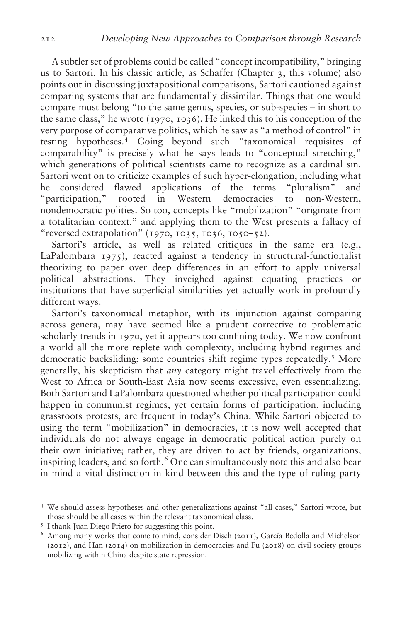A subtler set of problems could be called "concept incompatibility," bringing us to Sartori. In his classic article, as Schaffer (Chapter 3, this volume) also points out in discussing juxtapositional comparisons, Sartori cautioned against comparing systems that are fundamentally dissimilar. Things that one would compare must belong "to the same genus, species, or sub-species – in short to the same class," he wrote (1970, 1036). He linked this to his conception of the very purpose of comparative politics, which he saw as "a method of control" in testing hypotheses.<sup>4</sup> Going beyond such "taxonomical requisites of comparability" is precisely what he says leads to "conceptual stretching," which generations of political scientists came to recognize as a cardinal sin. Sartori went on to criticize examples of such hyper-elongation, including what he considered flawed applications of the terms "pluralism" and "participation," rooted in Western democracies to non-Western, nondemocratic polities. So too, concepts like "mobilization" "originate from a totalitarian context," and applying them to the West presents a fallacy of "reversed extrapolation" (1970, 1035, 1036, 1050–52).

Sartori's article, as well as related critiques in the same era (e.g., LaPalombara 1975), reacted against a tendency in structural-functionalist theorizing to paper over deep differences in an effort to apply universal political abstractions. They inveighed against equating practices or institutions that have superficial similarities yet actually work in profoundly different ways.

Sartori's taxonomical metaphor, with its injunction against comparing across genera, may have seemed like a prudent corrective to problematic scholarly trends in 1970, yet it appears too confining today. We now confront a world all the more replete with complexity, including hybrid regimes and democratic backsliding; some countries shift regime types repeatedly.<sup>5</sup> More generally, his skepticism that any category might travel effectively from the West to Africa or South-East Asia now seems excessive, even essentializing. Both Sartori and LaPalombara questioned whether political participation could happen in communist regimes, yet certain forms of participation, including grassroots protests, are frequent in today's China. While Sartori objected to using the term "mobilization" in democracies, it is now well accepted that individuals do not always engage in democratic political action purely on their own initiative; rather, they are driven to act by friends, organizations, inspiring leaders, and so forth.<sup>6</sup> One can simultaneously note this and also bear in mind a vital distinction in kind between this and the type of ruling party

<sup>4</sup> We should assess hypotheses and other generalizations against "all cases," Sartori wrote, but those should be all cases within the relevant taxonomical class.<br><sup>5</sup> I thank Juan Diego Prieto for suggesting this point.<br><sup>6</sup> Among many works that come to mind, consider Disch (2011), García Bedolla and Michelson

<sup>(</sup>2012), and Han (2014) on mobilization in democracies and Fu (2018) on civil society groups mobilizing within China despite state repression.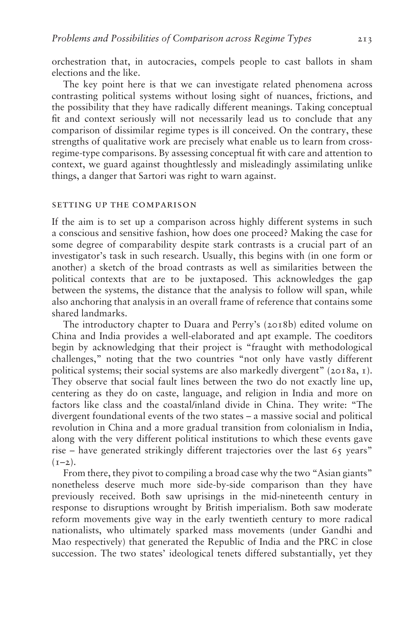orchestration that, in autocracies, compels people to cast ballots in sham elections and the like.

The key point here is that we can investigate related phenomena across contrasting political systems without losing sight of nuances, frictions, and the possibility that they have radically different meanings. Taking conceptual fit and context seriously will not necessarily lead us to conclude that any comparison of dissimilar regime types is ill conceived. On the contrary, these strengths of qualitative work are precisely what enable us to learn from crossregime-type comparisons. By assessing conceptual fit with care and attention to context, we guard against thoughtlessly and misleadingly assimilating unlike things, a danger that Sartori was right to warn against.

#### setting up the comparison

If the aim is to set up a comparison across highly different systems in such a conscious and sensitive fashion, how does one proceed? Making the case for some degree of comparability despite stark contrasts is a crucial part of an investigator's task in such research. Usually, this begins with (in one form or another) a sketch of the broad contrasts as well as similarities between the political contexts that are to be juxtaposed. This acknowledges the gap between the systems, the distance that the analysis to follow will span, while also anchoring that analysis in an overall frame of reference that contains some shared landmarks.

The introductory chapter to Duara and Perry's (2018b) edited volume on China and India provides a well-elaborated and apt example. The coeditors begin by acknowledging that their project is "fraught with methodological challenges," noting that the two countries "not only have vastly different political systems; their social systems are also markedly divergent" (2018a, 1). They observe that social fault lines between the two do not exactly line up, centering as they do on caste, language, and religion in India and more on factors like class and the coastal/inland divide in China. They write: "The divergent foundational events of the two states – a massive social and political revolution in China and a more gradual transition from colonialism in India, along with the very different political institutions to which these events gave rise – have generated strikingly different trajectories over the last 65 years"  $(1-2)$ .

From there, they pivot to compiling a broad case why the two "Asian giants" nonetheless deserve much more side-by-side comparison than they have previously received. Both saw uprisings in the mid-nineteenth century in response to disruptions wrought by British imperialism. Both saw moderate reform movements give way in the early twentieth century to more radical nationalists, who ultimately sparked mass movements (under Gandhi and Mao respectively) that generated the Republic of India and the PRC in close succession. The two states' ideological tenets differed substantially, yet they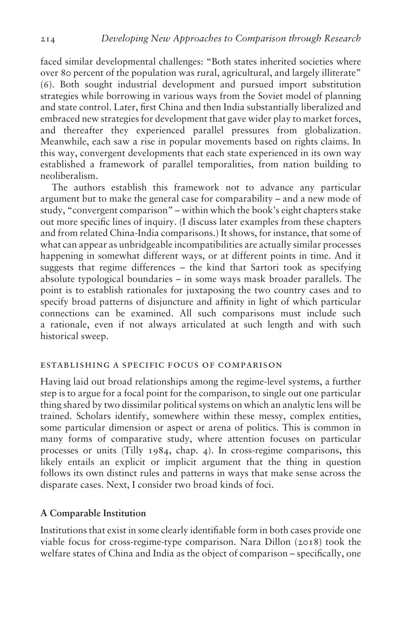faced similar developmental challenges: "Both states inherited societies where over 80 percent of the population was rural, agricultural, and largely illiterate" (6). Both sought industrial development and pursued import substitution strategies while borrowing in various ways from the Soviet model of planning and state control. Later, first China and then India substantially liberalized and embraced new strategies for development that gave wider play to market forces, and thereafter they experienced parallel pressures from globalization. Meanwhile, each saw a rise in popular movements based on rights claims. In this way, convergent developments that each state experienced in its own way established a framework of parallel temporalities, from nation building to neoliberalism.

The authors establish this framework not to advance any particular argument but to make the general case for comparability – and a new mode of study, "convergent comparison" – within which the book's eight chapters stake out more specific lines of inquiry. (I discuss later examples from these chapters and from related China-India comparisons.) It shows, for instance, that some of what can appear as unbridgeable incompatibilities are actually similar processes happening in somewhat different ways, or at different points in time. And it suggests that regime differences – the kind that Sartori took as specifying absolute typological boundaries – in some ways mask broader parallels. The point is to establish rationales for juxtaposing the two country cases and to specify broad patterns of disjuncture and affinity in light of which particular connections can be examined. All such comparisons must include such a rationale, even if not always articulated at such length and with such historical sweep.

# establishing a specific focus of comparison

Having laid out broad relationships among the regime-level systems, a further step is to argue for a focal point for the comparison, to single out one particular thing shared by two dissimilar political systems on which an analytic lens will be trained. Scholars identify, somewhere within these messy, complex entities, some particular dimension or aspect or arena of politics. This is common in many forms of comparative study, where attention focuses on particular processes or units (Tilly 1984, chap.  $(4)$ ). In cross-regime comparisons, this likely entails an explicit or implicit argument that the thing in question follows its own distinct rules and patterns in ways that make sense across the disparate cases. Next, I consider two broad kinds of foci.

## A Comparable Institution

Institutions that exist in some clearly identifiable form in both cases provide one viable focus for cross-regime-type comparison. Nara Dillon (2018) took the welfare states of China and India as the object of comparison – specifically, one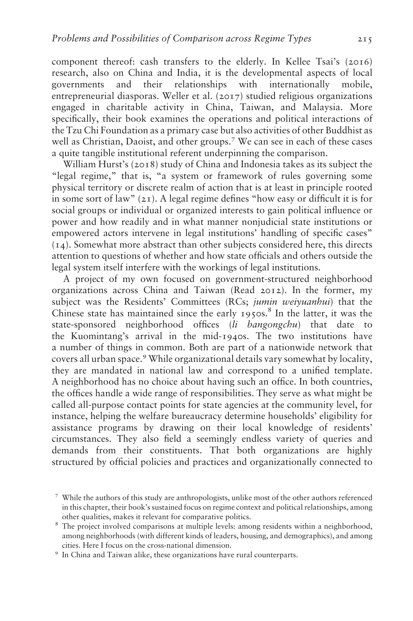component thereof: cash transfers to the elderly. In Kellee Tsai's (2016) research, also on China and India, it is the developmental aspects of local and their relationships with internationally mobile, entrepreneurial diasporas. Weller et al. (2017) studied religious organizations engaged in charitable activity in China, Taiwan, and Malaysia. More specifically, their book examines the operations and political interactions of the Tzu Chi Foundation as a primary case but also activities of other Buddhist as well as Christian, Daoist, and other groups.<sup>7</sup> We can see in each of these cases a quite tangible institutional referent underpinning the comparison.

William Hurst's (2018) study of China and Indonesia takes as its subject the "legal regime," that is, "a system or framework of rules governing some physical territory or discrete realm of action that is at least in principle rooted in some sort of law" (21). A legal regime defines "how easy or difficult it is for social groups or individual or organized interests to gain political influence or power and how readily and in what manner nonjudicial state institutions or empowered actors intervene in legal institutions' handling of specific cases" (14). Somewhat more abstract than other subjects considered here, this directs attention to questions of whether and how state officials and others outside the legal system itself interfere with the workings of legal institutions.

A project of my own focused on government-structured neighborhood organizations across China and Taiwan (Read 2012). In the former, my subject was the Residents' Committees (RCs; jumin weiyuanhui) that the Chinese state has maintained since the early  $1950s$ .<sup>8</sup> In the latter, it was the state-sponsored neighborhood offices (li bangongchu) that date to the Kuomintang's arrival in the mid-1940s. The two institutions have a number of things in common. Both are part of a nationwide network that covers all urban space.<sup>9</sup> While organizational details vary somewhat by locality, they are mandated in national law and correspond to a unified template. A neighborhood has no choice about having such an office. In both countries, the offices handle a wide range of responsibilities. They serve as what might be called all-purpose contact points for state agencies at the community level, for instance, helping the welfare bureaucracy determine households' eligibility for assistance programs by drawing on their local knowledge of residents' circumstances. They also field a seemingly endless variety of queries and demands from their constituents. That both organizations are highly structured by official policies and practices and organizationally connected to

<sup>7</sup> While the authors of this study are anthropologists, unlike most of the other authors referenced in this chapter, their book's sustained focus on regime context and political relationships, among other qualities, makes it relevant for comparative politics. <sup>8</sup> The project involved comparisons at multiple levels: among residents within a neighborhood,

among neighborhoods (with different kinds of leaders, housing, and demographics), and among cities. Here I focus on the cross-national dimension. <sup>9</sup> In China and Taiwan alike, these organizations have rural counterparts.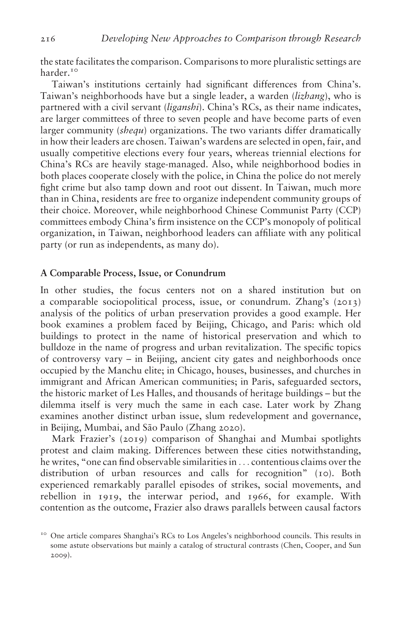the state facilitates the comparison. Comparisons to more pluralistic settings are harder.<sup>10</sup>

Taiwan's institutions certainly had significant differences from China's. Taiwan's neighborhoods have but a single leader, a warden (lizhang), who is partnered with a civil servant *(liganshi)*. China's RCs, as their name indicates, are larger committees of three to seven people and have become parts of even larger community *(shequ)* organizations. The two variants differ dramatically in how their leaders are chosen. Taiwan's wardens are selected in open, fair, and usually competitive elections every four years, whereas triennial elections for China's RCs are heavily stage-managed. Also, while neighborhood bodies in both places cooperate closely with the police, in China the police do not merely fight crime but also tamp down and root out dissent. In Taiwan, much more than in China, residents are free to organize independent community groups of their choice. Moreover, while neighborhood Chinese Communist Party (CCP) committees embody China's firm insistence on the CCP's monopoly of political organization, in Taiwan, neighborhood leaders can affiliate with any political party (or run as independents, as many do).

### A Comparable Process, Issue, or Conundrum

In other studies, the focus centers not on a shared institution but on a comparable sociopolitical process, issue, or conundrum. Zhang's (2013) analysis of the politics of urban preservation provides a good example. Her book examines a problem faced by Beijing, Chicago, and Paris: which old buildings to protect in the name of historical preservation and which to bulldoze in the name of progress and urban revitalization. The specific topics of controversy vary – in Beijing, ancient city gates and neighborhoods once occupied by the Manchu elite; in Chicago, houses, businesses, and churches in immigrant and African American communities; in Paris, safeguarded sectors, the historic market of Les Halles, and thousands of heritage buildings – but the dilemma itself is very much the same in each case. Later work by Zhang examines another distinct urban issue, slum redevelopment and governance, in Beijing, Mumbai, and São Paulo (Zhang 2020).

Mark Frazier's (2019) comparison of Shanghai and Mumbai spotlights protest and claim making. Differences between these cities notwithstanding, he writes, "one can find observable similarities in ... contentious claims over the distribution of urban resources and calls for recognition" (10). Both experienced remarkably parallel episodes of strikes, social movements, and rebellion in 1919, the interwar period, and 1966, for example. With contention as the outcome, Frazier also draws parallels between causal factors

<sup>&</sup>lt;sup>10</sup> One article compares Shanghai's RCs to Los Angeles's neighborhood councils. This results in some astute observations but mainly a catalog of structural contrasts (Chen, Cooper, and Sun 2009).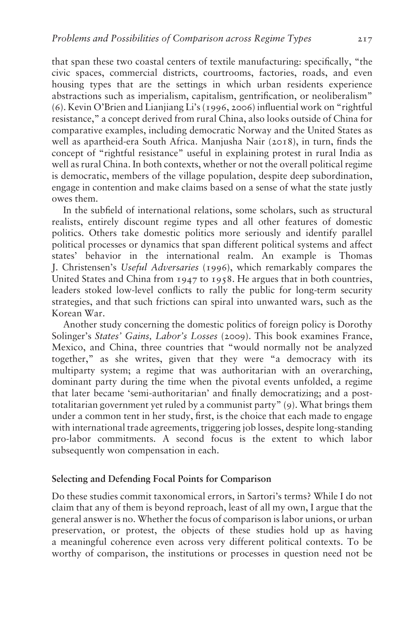that span these two coastal centers of textile manufacturing: specifically, "the civic spaces, commercial districts, courtrooms, factories, roads, and even housing types that are the settings in which urban residents experience abstractions such as imperialism, capitalism, gentrification, or neoliberalism" (6). Kevin O'Brien and Lianjiang Li's (1996, 2006) influential work on "rightful resistance," a concept derived from rural China, also looks outside of China for comparative examples, including democratic Norway and the United States as well as apartheid-era South Africa. Manjusha Nair (2018), in turn, finds the concept of "rightful resistance" useful in explaining protest in rural India as well as rural China. In both contexts, whether or not the overall political regime is democratic, members of the village population, despite deep subordination, engage in contention and make claims based on a sense of what the state justly owes them.

In the subfield of international relations, some scholars, such as structural realists, entirely discount regime types and all other features of domestic politics. Others take domestic politics more seriously and identify parallel political processes or dynamics that span different political systems and affect states' behavior in the international realm. An example is Thomas J. Christensen's Useful Adversaries (1996), which remarkably compares the United States and China from 1947 to 1958. He argues that in both countries, leaders stoked low-level conflicts to rally the public for long-term security strategies, and that such frictions can spiral into unwanted wars, such as the Korean War.

Another study concerning the domestic politics of foreign policy is Dorothy Solinger's States' Gains, Labor's Losses (2009). This book examines France, Mexico, and China, three countries that "would normally not be analyzed together," as she writes, given that they were "a democracy with its multiparty system; a regime that was authoritarian with an overarching, dominant party during the time when the pivotal events unfolded, a regime that later became 'semi-authoritarian' and finally democratizing; and a posttotalitarian government yet ruled by a communist party" (9). What brings them under a common tent in her study, first, is the choice that each made to engage with international trade agreements, triggering job losses, despite long-standing pro-labor commitments. A second focus is the extent to which labor subsequently won compensation in each.

### Selecting and Defending Focal Points for Comparison

Do these studies commit taxonomical errors, in Sartori's terms? While I do not claim that any of them is beyond reproach, least of all my own, I argue that the general answer is no. Whether the focus of comparison is labor unions, or urban preservation, or protest, the objects of these studies hold up as having a meaningful coherence even across very different political contexts. To be worthy of comparison, the institutions or processes in question need not be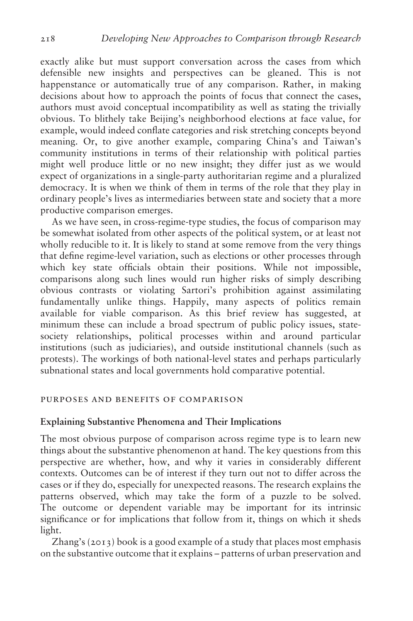exactly alike but must support conversation across the cases from which defensible new insights and perspectives can be gleaned. This is not happenstance or automatically true of any comparison. Rather, in making decisions about how to approach the points of focus that connect the cases, authors must avoid conceptual incompatibility as well as stating the trivially obvious. To blithely take Beijing's neighborhood elections at face value, for example, would indeed conflate categories and risk stretching concepts beyond meaning. Or, to give another example, comparing China's and Taiwan's community institutions in terms of their relationship with political parties might well produce little or no new insight; they differ just as we would expect of organizations in a single-party authoritarian regime and a pluralized democracy. It is when we think of them in terms of the role that they play in ordinary people's lives as intermediaries between state and society that a more productive comparison emerges.

As we have seen, in cross-regime-type studies, the focus of comparison may be somewhat isolated from other aspects of the political system, or at least not wholly reducible to it. It is likely to stand at some remove from the very things that define regime-level variation, such as elections or other processes through which key state officials obtain their positions. While not impossible, comparisons along such lines would run higher risks of simply describing obvious contrasts or violating Sartori's prohibition against assimilating fundamentally unlike things. Happily, many aspects of politics remain available for viable comparison. As this brief review has suggested, at minimum these can include a broad spectrum of public policy issues, statesociety relationships, political processes within and around particular institutions (such as judiciaries), and outside institutional channels (such as protests). The workings of both national-level states and perhaps particularly subnational states and local governments hold comparative potential.

#### purposes and benefits of comparison

#### Explaining Substantive Phenomena and Their Implications

The most obvious purpose of comparison across regime type is to learn new things about the substantive phenomenon at hand. The key questions from this perspective are whether, how, and why it varies in considerably different contexts. Outcomes can be of interest if they turn out not to differ across the cases or if they do, especially for unexpected reasons. The research explains the patterns observed, which may take the form of a puzzle to be solved. The outcome or dependent variable may be important for its intrinsic significance or for implications that follow from it, things on which it sheds light.

Zhang's (2013) book is a good example of a study that places most emphasis on the substantive outcome that it explains – patterns of urban preservation and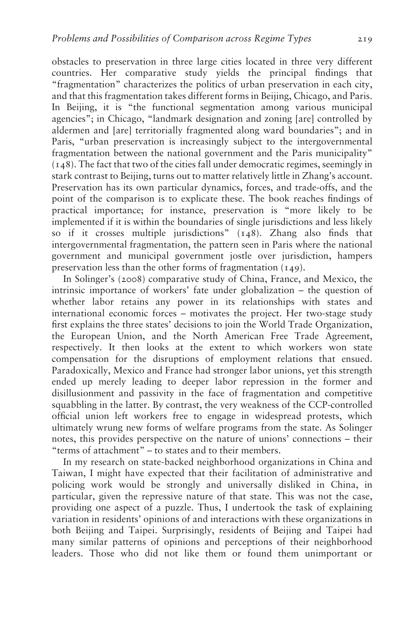obstacles to preservation in three large cities located in three very different countries. Her comparative study yields the principal findings that "fragmentation" characterizes the politics of urban preservation in each city, and that this fragmentation takes different forms in Beijing, Chicago, and Paris. In Beijing, it is "the functional segmentation among various municipal agencies"; in Chicago, "landmark designation and zoning [are] controlled by aldermen and [are] territorially fragmented along ward boundaries"; and in Paris, "urban preservation is increasingly subject to the intergovernmental fragmentation between the national government and the Paris municipality" (148). The fact that two of the cities fall under democratic regimes, seemingly in stark contrast to Beijing, turns out to matter relatively little in Zhang's account. Preservation has its own particular dynamics, forces, and trade-offs, and the point of the comparison is to explicate these. The book reaches findings of practical importance; for instance, preservation is "more likely to be implemented if it is within the boundaries of single jurisdictions and less likely so if it crosses multiple jurisdictions" (148). Zhang also finds that intergovernmental fragmentation, the pattern seen in Paris where the national government and municipal government jostle over jurisdiction, hampers preservation less than the other forms of fragmentation (149).

In Solinger's (2008) comparative study of China, France, and Mexico, the intrinsic importance of workers' fate under globalization – the question of whether labor retains any power in its relationships with states and international economic forces – motivates the project. Her two-stage study first explains the three states' decisions to join the World Trade Organization, the European Union, and the North American Free Trade Agreement, respectively. It then looks at the extent to which workers won state compensation for the disruptions of employment relations that ensued. Paradoxically, Mexico and France had stronger labor unions, yet this strength ended up merely leading to deeper labor repression in the former and disillusionment and passivity in the face of fragmentation and competitive squabbling in the latter. By contrast, the very weakness of the CCP-controlled official union left workers free to engage in widespread protests, which ultimately wrung new forms of welfare programs from the state. As Solinger notes, this provides perspective on the nature of unions' connections – their "terms of attachment" – to states and to their members.

In my research on state-backed neighborhood organizations in China and Taiwan, I might have expected that their facilitation of administrative and policing work would be strongly and universally disliked in China, in particular, given the repressive nature of that state. This was not the case, providing one aspect of a puzzle. Thus, I undertook the task of explaining variation in residents' opinions of and interactions with these organizations in both Beijing and Taipei. Surprisingly, residents of Beijing and Taipei had many similar patterns of opinions and perceptions of their neighborhood leaders. Those who did not like them or found them unimportant or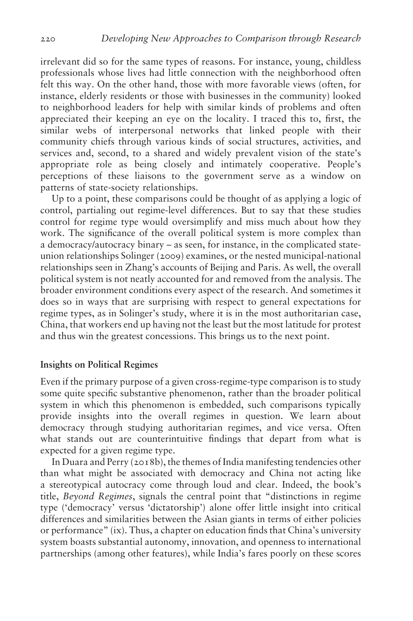irrelevant did so for the same types of reasons. For instance, young, childless professionals whose lives had little connection with the neighborhood often felt this way. On the other hand, those with more favorable views (often, for instance, elderly residents or those with businesses in the community) looked to neighborhood leaders for help with similar kinds of problems and often appreciated their keeping an eye on the locality. I traced this to, first, the similar webs of interpersonal networks that linked people with their community chiefs through various kinds of social structures, activities, and services and, second, to a shared and widely prevalent vision of the state's appropriate role as being closely and intimately cooperative. People's perceptions of these liaisons to the government serve as a window on patterns of state-society relationships.

Up to a point, these comparisons could be thought of as applying a logic of control, partialing out regime-level differences. But to say that these studies control for regime type would oversimplify and miss much about how they work. The significance of the overall political system is more complex than a democracy/autocracy binary – as seen, for instance, in the complicated stateunion relationships Solinger (2009) examines, or the nested municipal-national relationships seen in Zhang's accounts of Beijing and Paris. As well, the overall political system is not neatly accounted for and removed from the analysis. The broader environment conditions every aspect of the research. And sometimes it does so in ways that are surprising with respect to general expectations for regime types, as in Solinger's study, where it is in the most authoritarian case, China, that workers end up having not the least but the most latitude for protest and thus win the greatest concessions. This brings us to the next point.

# Insights on Political Regimes

Even if the primary purpose of a given cross-regime-type comparison is to study some quite specific substantive phenomenon, rather than the broader political system in which this phenomenon is embedded, such comparisons typically provide insights into the overall regimes in question. We learn about democracy through studying authoritarian regimes, and vice versa. Often what stands out are counterintuitive findings that depart from what is expected for a given regime type.

In Duara and Perry (2018b), the themes of India manifesting tendencies other than what might be associated with democracy and China not acting like a stereotypical autocracy come through loud and clear. Indeed, the book's title, Beyond Regimes, signals the central point that "distinctions in regime type ('democracy' versus 'dictatorship') alone offer little insight into critical differences and similarities between the Asian giants in terms of either policies or performance" (ix). Thus, a chapter on education finds that China's university system boasts substantial autonomy, innovation, and openness to international partnerships (among other features), while India's fares poorly on these scores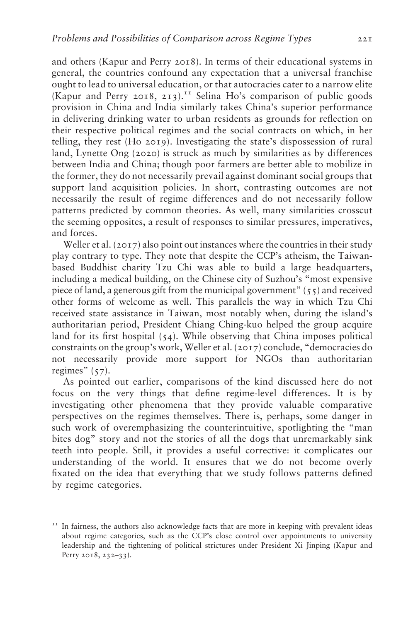and others (Kapur and Perry 2018). In terms of their educational systems in general, the countries confound any expectation that a universal franchise ought to lead to universal education, or that autocracies cater to a narrow elite (Kapur and Perry 2018, 213).<sup>11</sup> Selina Ho's comparison of public goods provision in China and India similarly takes China's superior performance in delivering drinking water to urban residents as grounds for reflection on their respective political regimes and the social contracts on which, in her telling, they rest (Ho 2019). Investigating the state's dispossession of rural land, Lynette Ong (2020) is struck as much by similarities as by differences between India and China; though poor farmers are better able to mobilize in the former, they do not necessarily prevail against dominant social groups that support land acquisition policies. In short, contrasting outcomes are not necessarily the result of regime differences and do not necessarily follow patterns predicted by common theories. As well, many similarities crosscut the seeming opposites, a result of responses to similar pressures, imperatives, and forces.

Weller et al. (2017) also point out instances where the countries in their study play contrary to type. They note that despite the CCP's atheism, the Taiwanbased Buddhist charity Tzu Chi was able to build a large headquarters, including a medical building, on the Chinese city of Suzhou's "most expensive piece of land, a generous gift from the municipal government"  $(55)$  and received other forms of welcome as well. This parallels the way in which Tzu Chi received state assistance in Taiwan, most notably when, during the island's authoritarian period, President Chiang Ching-kuo helped the group acquire land for its first hospital (54). While observing that China imposes political constraints on the group's work, Weller et al. (2017) conclude, "democracies do not necessarily provide more support for NGOs than authoritarian regimes"  $(57)$ .

As pointed out earlier, comparisons of the kind discussed here do not focus on the very things that define regime-level differences. It is by investigating other phenomena that they provide valuable comparative perspectives on the regimes themselves. There is, perhaps, some danger in such work of overemphasizing the counterintuitive, spotlighting the "man bites dog" story and not the stories of all the dogs that unremarkably sink teeth into people. Still, it provides a useful corrective: it complicates our understanding of the world. It ensures that we do not become overly fixated on the idea that everything that we study follows patterns defined by regime categories.

 $11$  In fairness, the authors also acknowledge facts that are more in keeping with prevalent ideas about regime categories, such as the CCP's close control over appointments to university leadership and the tightening of political strictures under President Xi Jinping (Kapur and Perry 2018, 232-33).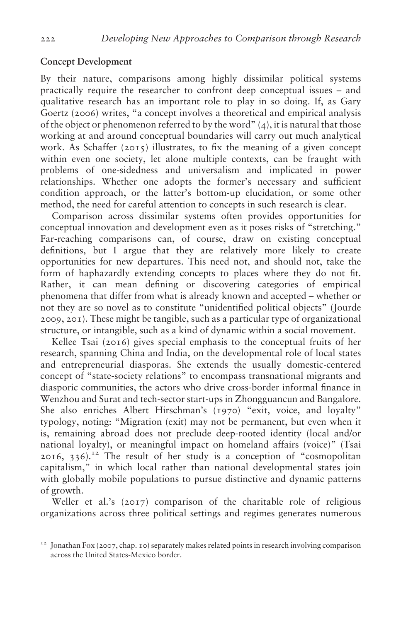# Concept Development

By their nature, comparisons among highly dissimilar political systems practically require the researcher to confront deep conceptual issues – and qualitative research has an important role to play in so doing. If, as Gary Goertz (2006) writes, "a concept involves a theoretical and empirical analysis of the object or phenomenon referred to by the word" (4), it is natural that those working at and around conceptual boundaries will carry out much analytical work. As Schaffer  $(2015)$  illustrates, to fix the meaning of a given concept within even one society, let alone multiple contexts, can be fraught with problems of one-sidedness and universalism and implicated in power relationships. Whether one adopts the former's necessary and sufficient condition approach, or the latter's bottom-up elucidation, or some other method, the need for careful attention to concepts in such research is clear.

Comparison across dissimilar systems often provides opportunities for conceptual innovation and development even as it poses risks of "stretching." Far-reaching comparisons can, of course, draw on existing conceptual definitions, but I argue that they are relatively more likely to create opportunities for new departures. This need not, and should not, take the form of haphazardly extending concepts to places where they do not fit. Rather, it can mean defining or discovering categories of empirical phenomena that differ from what is already known and accepted – whether or not they are so novel as to constitute "unidentified political objects" (Jourde 2009, 201). These might be tangible, such as a particular type of organizational structure, or intangible, such as a kind of dynamic within a social movement.

Kellee Tsai (2016) gives special emphasis to the conceptual fruits of her research, spanning China and India, on the developmental role of local states and entrepreneurial diasporas. She extends the usually domestic-centered concept of "state-society relations" to encompass transnational migrants and diasporic communities, the actors who drive cross-border informal finance in Wenzhou and Surat and tech-sector start-ups in Zhongguancun and Bangalore. She also enriches Albert Hirschman's (1970) "exit, voice, and loyalty" typology, noting: "Migration (exit) may not be permanent, but even when it is, remaining abroad does not preclude deep-rooted identity (local and/or national loyalty), or meaningful impact on homeland affairs (voice)" (Tsai  $2016$ ,  $336$ ).<sup>12</sup> The result of her study is a conception of "cosmopolitan" capitalism," in which local rather than national developmental states join with globally mobile populations to pursue distinctive and dynamic patterns of growth.

Weller et al.'s (2017) comparison of the charitable role of religious organizations across three political settings and regimes generates numerous

 $12$  Jonathan Fox (2007, chap. 10) separately makes related points in research involving comparison across the United States-Mexico border.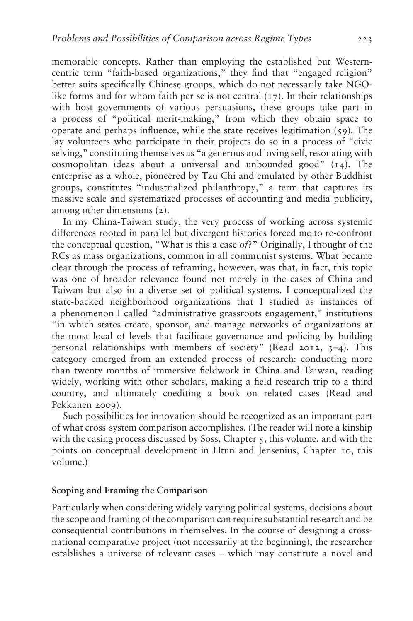memorable concepts. Rather than employing the established but Westerncentric term "faith-based organizations," they find that "engaged religion" better suits specifically Chinese groups, which do not necessarily take NGOlike forms and for whom faith per se is not central  $(17)$ . In their relationships with host governments of various persuasions, these groups take part in a process of "political merit-making," from which they obtain space to operate and perhaps influence, while the state receives legitimation (59). The lay volunteers who participate in their projects do so in a process of "civic selving," constituting themselves as "a generous and loving self, resonating with cosmopolitan ideas about a universal and unbounded good" (14). The enterprise as a whole, pioneered by Tzu Chi and emulated by other Buddhist groups, constitutes "industrialized philanthropy," a term that captures its massive scale and systematized processes of accounting and media publicity, among other dimensions (2).

In my China-Taiwan study, the very process of working across systemic differences rooted in parallel but divergent histories forced me to re-confront the conceptual question, "What is this a case of?" Originally, I thought of the RCs as mass organizations, common in all communist systems. What became clear through the process of reframing, however, was that, in fact, this topic was one of broader relevance found not merely in the cases of China and Taiwan but also in a diverse set of political systems. I conceptualized the state-backed neighborhood organizations that I studied as instances of a phenomenon I called "administrative grassroots engagement," institutions "in which states create, sponsor, and manage networks of organizations at the most local of levels that facilitate governance and policing by building personal relationships with members of society" (Read 2012, 3–4). This category emerged from an extended process of research: conducting more than twenty months of immersive fieldwork in China and Taiwan, reading widely, working with other scholars, making a field research trip to a third country, and ultimately coediting a book on related cases (Read and Pekkanen 2009).

Such possibilities for innovation should be recognized as an important part of what cross-system comparison accomplishes. (The reader will note a kinship with the casing process discussed by Soss, Chapter 5, this volume, and with the points on conceptual development in Htun and Jensenius, Chapter 10, this volume.)

## Scoping and Framing the Comparison

Particularly when considering widely varying political systems, decisions about the scope and framing of the comparison can require substantial research and be consequential contributions in themselves. In the course of designing a crossnational comparative project (not necessarily at the beginning), the researcher establishes a universe of relevant cases – which may constitute a novel and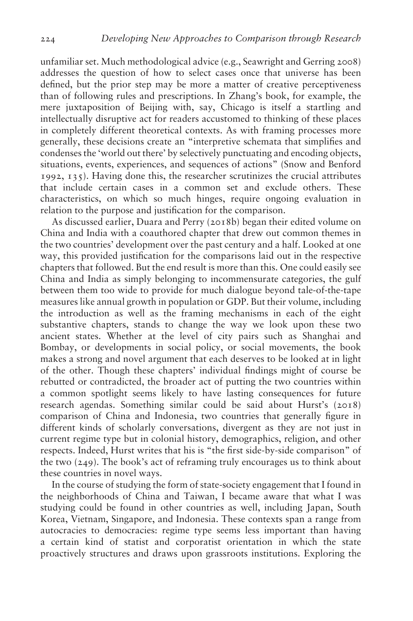unfamiliar set. Much methodological advice (e.g., Seawright and Gerring 2008) addresses the question of how to select cases once that universe has been defined, but the prior step may be more a matter of creative perceptiveness than of following rules and prescriptions. In Zhang's book, for example, the mere juxtaposition of Beijing with, say, Chicago is itself a startling and intellectually disruptive act for readers accustomed to thinking of these places in completely different theoretical contexts. As with framing processes more generally, these decisions create an "interpretive schemata that simplifies and condenses the 'world out there' by selectively punctuating and encoding objects, situations, events, experiences, and sequences of actions" (Snow and Benford 1992, 135). Having done this, the researcher scrutinizes the crucial attributes that include certain cases in a common set and exclude others. These characteristics, on which so much hinges, require ongoing evaluation in relation to the purpose and justification for the comparison.

As discussed earlier, Duara and Perry (2018b) began their edited volume on China and India with a coauthored chapter that drew out common themes in the two countries' development over the past century and a half. Looked at one way, this provided justification for the comparisons laid out in the respective chapters that followed. But the end result is more than this. One could easily see China and India as simply belonging to incommensurate categories, the gulf between them too wide to provide for much dialogue beyond tale-of-the-tape measures like annual growth in population or GDP. But their volume, including the introduction as well as the framing mechanisms in each of the eight substantive chapters, stands to change the way we look upon these two ancient states. Whether at the level of city pairs such as Shanghai and Bombay, or developments in social policy, or social movements, the book makes a strong and novel argument that each deserves to be looked at in light of the other. Though these chapters' individual findings might of course be rebutted or contradicted, the broader act of putting the two countries within a common spotlight seems likely to have lasting consequences for future research agendas. Something similar could be said about Hurst's (2018) comparison of China and Indonesia, two countries that generally figure in different kinds of scholarly conversations, divergent as they are not just in current regime type but in colonial history, demographics, religion, and other respects. Indeed, Hurst writes that his is "the first side-by-side comparison" of the two (249). The book's act of reframing truly encourages us to think about these countries in novel ways.

In the course of studying the form of state-society engagement that I found in the neighborhoods of China and Taiwan, I became aware that what I was studying could be found in other countries as well, including Japan, South Korea, Vietnam, Singapore, and Indonesia. These contexts span a range from autocracies to democracies: regime type seems less important than having a certain kind of statist and corporatist orientation in which the state proactively structures and draws upon grassroots institutions. Exploring the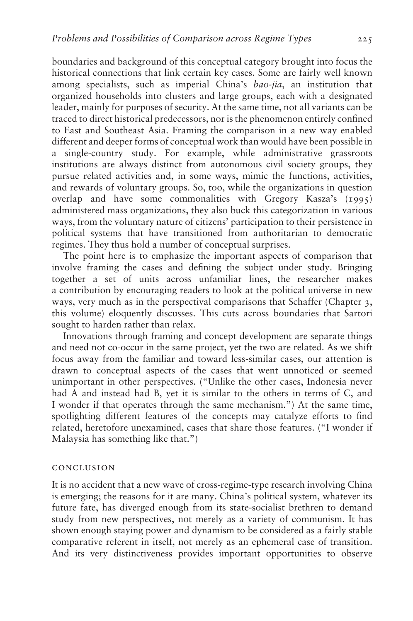boundaries and background of this conceptual category brought into focus the historical connections that link certain key cases. Some are fairly well known among specialists, such as imperial China's bao-jia, an institution that organized households into clusters and large groups, each with a designated leader, mainly for purposes of security. At the same time, not all variants can be traced to direct historical predecessors, nor is the phenomenon entirely confined to East and Southeast Asia. Framing the comparison in a new way enabled different and deeper forms of conceptual work than would have been possible in a single-country study. For example, while administrative grassroots institutions are always distinct from autonomous civil society groups, they pursue related activities and, in some ways, mimic the functions, activities, and rewards of voluntary groups. So, too, while the organizations in question overlap and have some commonalities with Gregory Kasza's (1995) administered mass organizations, they also buck this categorization in various ways, from the voluntary nature of citizens' participation to their persistence in political systems that have transitioned from authoritarian to democratic regimes. They thus hold a number of conceptual surprises.

The point here is to emphasize the important aspects of comparison that involve framing the cases and defining the subject under study. Bringing together a set of units across unfamiliar lines, the researcher makes a contribution by encouraging readers to look at the political universe in new ways, very much as in the perspectival comparisons that Schaffer (Chapter 3, this volume) eloquently discusses. This cuts across boundaries that Sartori sought to harden rather than relax.

Innovations through framing and concept development are separate things and need not co-occur in the same project, yet the two are related. As we shift focus away from the familiar and toward less-similar cases, our attention is drawn to conceptual aspects of the cases that went unnoticed or seemed unimportant in other perspectives. ("Unlike the other cases, Indonesia never had A and instead had B, yet it is similar to the others in terms of C, and I wonder if that operates through the same mechanism.") At the same time, spotlighting different features of the concepts may catalyze efforts to find related, heretofore unexamined, cases that share those features. ("I wonder if Malaysia has something like that.")

#### conclusion

It is no accident that a new wave of cross-regime-type research involving China is emerging; the reasons for it are many. China's political system, whatever its future fate, has diverged enough from its state-socialist brethren to demand study from new perspectives, not merely as a variety of communism. It has shown enough staying power and dynamism to be considered as a fairly stable comparative referent in itself, not merely as an ephemeral case of transition. And its very distinctiveness provides important opportunities to observe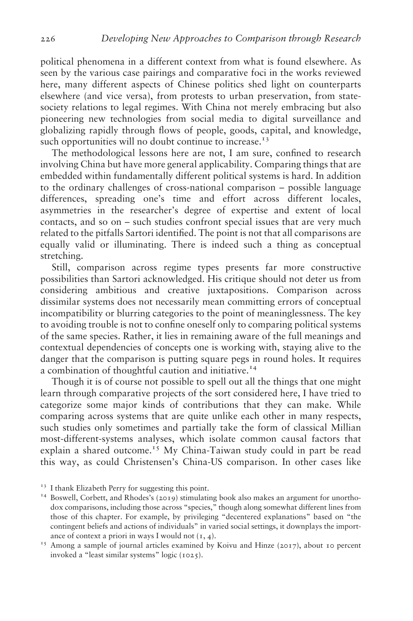political phenomena in a different context from what is found elsewhere. As seen by the various case pairings and comparative foci in the works reviewed here, many different aspects of Chinese politics shed light on counterparts elsewhere (and vice versa), from protests to urban preservation, from statesociety relations to legal regimes. With China not merely embracing but also pioneering new technologies from social media to digital surveillance and globalizing rapidly through flows of people, goods, capital, and knowledge, such opportunities will no doubt continue to increase. $13$ 

The methodological lessons here are not, I am sure, confined to research involving China but have more general applicability. Comparing things that are embedded within fundamentally different political systems is hard. In addition to the ordinary challenges of cross-national comparison – possible language differences, spreading one's time and effort across different locales, asymmetries in the researcher's degree of expertise and extent of local contacts, and so on – such studies confront special issues that are very much related to the pitfalls Sartori identified. The point is not that all comparisons are equally valid or illuminating. There is indeed such a thing as conceptual stretching.

Still, comparison across regime types presents far more constructive possibilities than Sartori acknowledged. His critique should not deter us from considering ambitious and creative juxtapositions. Comparison across dissimilar systems does not necessarily mean committing errors of conceptual incompatibility or blurring categories to the point of meaninglessness. The key to avoiding trouble is not to confine oneself only to comparing political systems of the same species. Rather, it lies in remaining aware of the full meanings and contextual dependencies of concepts one is working with, staying alive to the danger that the comparison is putting square pegs in round holes. It requires a combination of thoughtful caution and initiative.<sup>14</sup>

Though it is of course not possible to spell out all the things that one might learn through comparative projects of the sort considered here, I have tried to categorize some major kinds of contributions that they can make. While comparing across systems that are quite unlike each other in many respects, such studies only sometimes and partially take the form of classical Millian most-different-systems analyses, which isolate common causal factors that explain a shared outcome.<sup>15</sup> My China-Taiwan study could in part be read this way, as could Christensen's China-US comparison. In other cases like

<sup>&</sup>lt;sup>13</sup> I thank Elizabeth Perry for suggesting this point.<br><sup>14</sup> Boswell, Corbett, and Rhodes's (2019) stimulating book also makes an argument for unorthodox comparisons, including those across "species," though along somewhat different lines from those of this chapter. For example, by privileging "decentered explanations" based on "the contingent beliefs and actions of individuals" in varied social settings, it downplays the importance of context a priori in ways I would not  $(x, 4)$ .<br><sup>15</sup> Among a sample of journal articles examined by Koivu and Hinze (2017), about 10 percent

invoked a "least similar systems" logic (1025).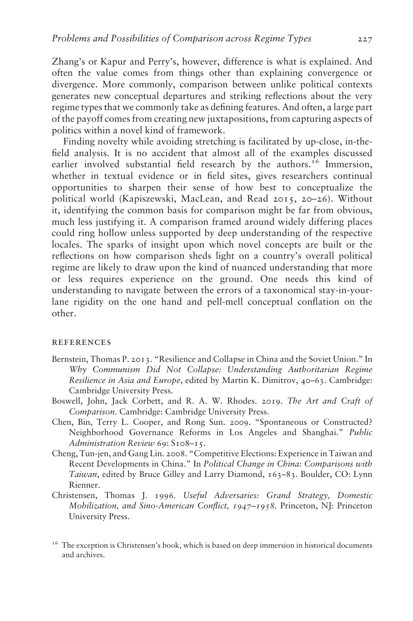Zhang's or Kapur and Perry's, however, difference is what is explained. And often the value comes from things other than explaining convergence or divergence. More commonly, comparison between unlike political contexts generates new conceptual departures and striking reflections about the very regime types that we commonly take as defining features. And often, a large part of the payoff comes from creating new juxtapositions, from capturing aspects of politics within a novel kind of framework.

Finding novelty while avoiding stretching is facilitated by up-close, in-thefield analysis. It is no accident that almost all of the examples discussed earlier involved substantial field research by the authors.<sup>16</sup> Immersion, whether in textual evidence or in field sites, gives researchers continual opportunities to sharpen their sense of how best to conceptualize the political world (Kapiszewski, MacLean, and Read 2015, 20–26). Without it, identifying the common basis for comparison might be far from obvious, much less justifying it. A comparison framed around widely differing places could ring hollow unless supported by deep understanding of the respective locales. The sparks of insight upon which novel concepts are built or the reflections on how comparison sheds light on a country's overall political regime are likely to draw upon the kind of nuanced understanding that more or less requires experience on the ground. One needs this kind of understanding to navigate between the errors of a taxonomical stay-in-yourlane rigidity on the one hand and pell-mell conceptual conflation on the other.

#### **REFERENCES**

- Bernstein, Thomas P. 2013. "Resilience and Collapse in China and the Soviet Union." In Why Communism Did Not Collapse: Understanding Authoritarian Regime Resilience in Asia and Europe, edited by Martin K. Dimitrov, 40–63. Cambridge: Cambridge University Press.
- Boswell, John, Jack Corbett, and R. A. W. Rhodes. 2019. The Art and Craft of Comparison. Cambridge: Cambridge University Press.
- Chen, Bin, Terry L. Cooper, and Rong Sun. 2009. "Spontaneous or Constructed? Neighborhood Governance Reforms in Los Angeles and Shanghai." Public Administration Review 69: S108-15.
- Cheng, Tun-jen, and Gang Lin. 2008. "Competitive Elections: Experience in Taiwan and Recent Developments in China." In Political Change in China: Comparisons with Taiwan, edited by Bruce Gilley and Larry Diamond, 163-83. Boulder, CO: Lynn Rienner.
- Christensen, Thomas J. 1996. Useful Adversaries: Grand Strategy, Domestic Mobilization, and Sino-American Conflict, *1947*–*1958*. Princeton, NJ: Princeton University Press.

<sup>16</sup> The exception is Christensen's book, which is based on deep immersion in historical documents and archives.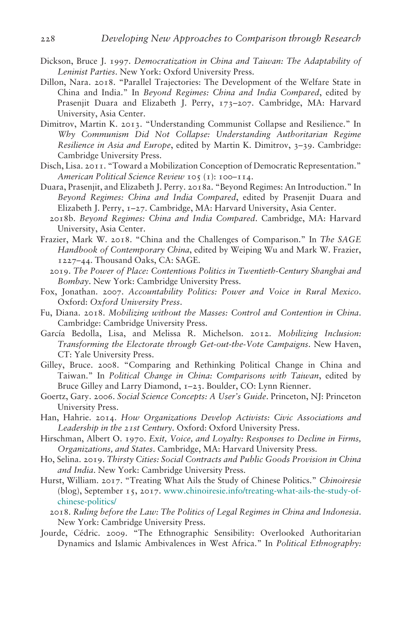- Dickson, Bruce J. 1997. Democratization in China and Taiwan: The Adaptability of Leninist Parties. New York: Oxford University Press.
- Dillon, Nara. 2018. "Parallel Trajectories: The Development of the Welfare State in China and India." In Beyond Regimes: China and India Compared, edited by Prasenjit Duara and Elizabeth J. Perry, 173-207. Cambridge, MA: Harvard University, Asia Center.
- Dimitrov, Martin K. 2013. "Understanding Communist Collapse and Resilience." In Why Communism Did Not Collapse: Understanding Authoritarian Regime Resilience in Asia and Europe, edited by Martin K. Dimitrov, 3-39. Cambridge: Cambridge University Press.
- Disch, Lisa. 2011. "Toward a Mobilization Conception of Democratic Representation." American Political Science Review 105 (1): 100–114.
- Duara, Prasenjit, and Elizabeth J. Perry. 2018a. "Beyond Regimes: An Introduction." In Beyond Regimes: China and India Compared, edited by Prasenjit Duara and Elizabeth J. Perry, 1–27. Cambridge, MA: Harvard University, Asia Center.
	- 2018b. Beyond Regimes: China and India Compared. Cambridge, MA: Harvard University, Asia Center.
- Frazier, Mark W. 2018. "China and the Challenges of Comparison." In The SAGE Handbook of Contemporary China, edited by Weiping Wu and Mark W. Frazier, 1227–44. Thousand Oaks, CA: SAGE.
	- 2019. The Power of Place: Contentious Politics in Twentieth-Century Shanghai and Bombay. New York: Cambridge University Press.
- Fox, Jonathan. 2007. Accountability Politics: Power and Voice in Rural Mexico. Oxford: Oxford University Press.
- Fu, Diana. 2018. Mobilizing without the Masses: Control and Contention in China. Cambridge: Cambridge University Press.
- García Bedolla, Lisa, and Melissa R. Michelson. 2012. Mobilizing Inclusion: Transforming the Electorate through Get-out-the-Vote Campaigns. New Haven, CT: Yale University Press.
- Gilley, Bruce. 2008. "Comparing and Rethinking Political Change in China and Taiwan." In Political Change in China: Comparisons with Taiwan, edited by Bruce Gilley and Larry Diamond, 1-23. Boulder, CO: Lynn Rienner.
- Goertz, Gary. 2006. Social Science Concepts: A User's Guide. Princeton, NJ: Princeton University Press.
- Han, Hahrie. 2014. How Organizations Develop Activists: Civic Associations and Leadership in the *21*st Century. Oxford: Oxford University Press.
- Hirschman, Albert O. 1970. Exit, Voice, and Loyalty: Responses to Decline in Firms, Organizations, and States. Cambridge, MA: Harvard University Press.
- Ho, Selina. 2019. Thirsty Cities: Social Contracts and Public Goods Provision in China and India. New York: Cambridge University Press.
- Hurst, William. 2017. "Treating What Ails the Study of Chinese Politics." Chinoiresie (blog), September 15, 2017. [www.chinoiresie.info/treating-what-ails-the-study-of](http://www.chinoiresie.info/treating-what-ails-the-study-of-chinese-politics/)[chinese-politics/](http://www.chinoiresie.info/treating-what-ails-the-study-of-chinese-politics/)
	- 2018. Ruling before the Law: The Politics of Legal Regimes in China and Indonesia. New York: Cambridge University Press.
- Jourde, Cédric. 2009. "The Ethnographic Sensibility: Overlooked Authoritarian Dynamics and Islamic Ambivalences in West Africa." In Political Ethnography: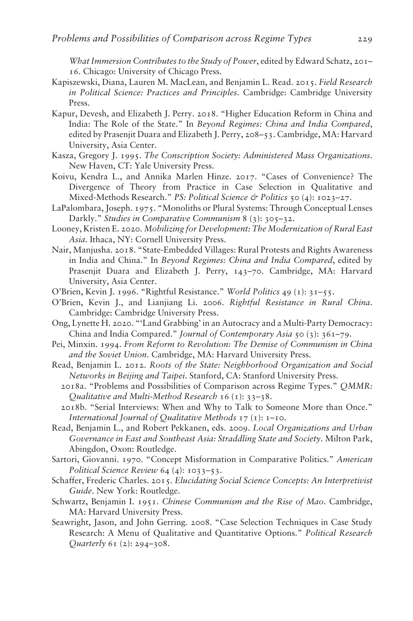What Immersion Contributes to the Study of Power, edited by Edward Schatz, 201– 16. Chicago: University of Chicago Press.

- Kapiszewski, Diana, Lauren M. MacLean, and Benjamin L. Read. 2015. Field Research in Political Science: Practices and Principles. Cambridge: Cambridge University Press.
- Kapur, Devesh, and Elizabeth J. Perry. 2018. "Higher Education Reform in China and India: The Role of the State." In Beyond Regimes: China and India Compared, edited by Prasenjit Duara and Elizabeth J. Perry, 208–53. Cambridge, MA: Harvard University, Asia Center.
- Kasza, Gregory J. 1995. The Conscription Society: Administered Mass Organizations. New Haven, CT: Yale University Press.
- Koivu, Kendra L., and Annika Marlen Hinze. 2017. "Cases of Convenience? The Divergence of Theory from Practice in Case Selection in Qualitative and Mixed-Methods Research." PS: Political Science & Politics 50 (4): 1023-27.
- LaPalombara, Joseph. 1975. "Monoliths or Plural Systems: Through Conceptual Lenses Darkly." Studies in Comparative Communism 8 (3): 305–32.
- Looney, Kristen E. 2020. Mobilizing for Development: The Modernization of Rural East Asia. Ithaca, NY: Cornell University Press.
- Nair, Manjusha. 2018. "State-Embedded Villages: Rural Protests and Rights Awareness in India and China." In Beyond Regimes: China and India Compared, edited by Prasenjit Duara and Elizabeth J. Perry, 143-70. Cambridge, MA: Harvard University, Asia Center.
- O'Brien, Kevin J. 1996. "Rightful Resistance." World Politics 49 (1): 31–55.
- O'Brien, Kevin J., and Lianjiang Li. 2006. Rightful Resistance in Rural China. Cambridge: Cambridge University Press.
- Ong, Lynette H. 2020. "'Land Grabbing' in an Autocracy and a Multi-Party Democracy: China and India Compared." Journal of Contemporary Asia 50 (3): 361–79.
- Pei, Minxin. 1994. From Reform to Revolution: The Demise of Communism in China and the Soviet Union. Cambridge, MA: Harvard University Press.
- Read, Benjamin L. 2012. Roots of the State: Neighborhood Organization and Social Networks in Beijing and Taipei. Stanford, CA: Stanford University Press.
	- 2018a. "Problems and Possibilities of Comparison across Regime Types." QMMR: Qualitative and Multi-Method Research 16 (1): 33–38.
	- 2018b. "Serial Interviews: When and Why to Talk to Someone More than Once." International Journal of Qualitative Methods  $17$  (1): 1-10.
- Read, Benjamin L., and Robert Pekkanen, eds. 2009. Local Organizations and Urban Governance in East and Southeast Asia: Straddling State and Society. Milton Park, Abingdon, Oxon: Routledge.
- Sartori, Giovanni. 1970. "Concept Misformation in Comparative Politics." American Political Science Review 64 (4): 1033-53.
- Schaffer, Frederic Charles. 2015. Elucidating Social Science Concepts: An Interpretivist Guide. New York: Routledge.
- Schwartz, Benjamin I. 1951. Chinese Communism and the Rise of Mao. Cambridge, MA: Harvard University Press.
- Seawright, Jason, and John Gerring. 2008. "Case Selection Techniques in Case Study Research: A Menu of Qualitative and Quantitative Options." Political Research Quarterly 61 (2): 294–308.